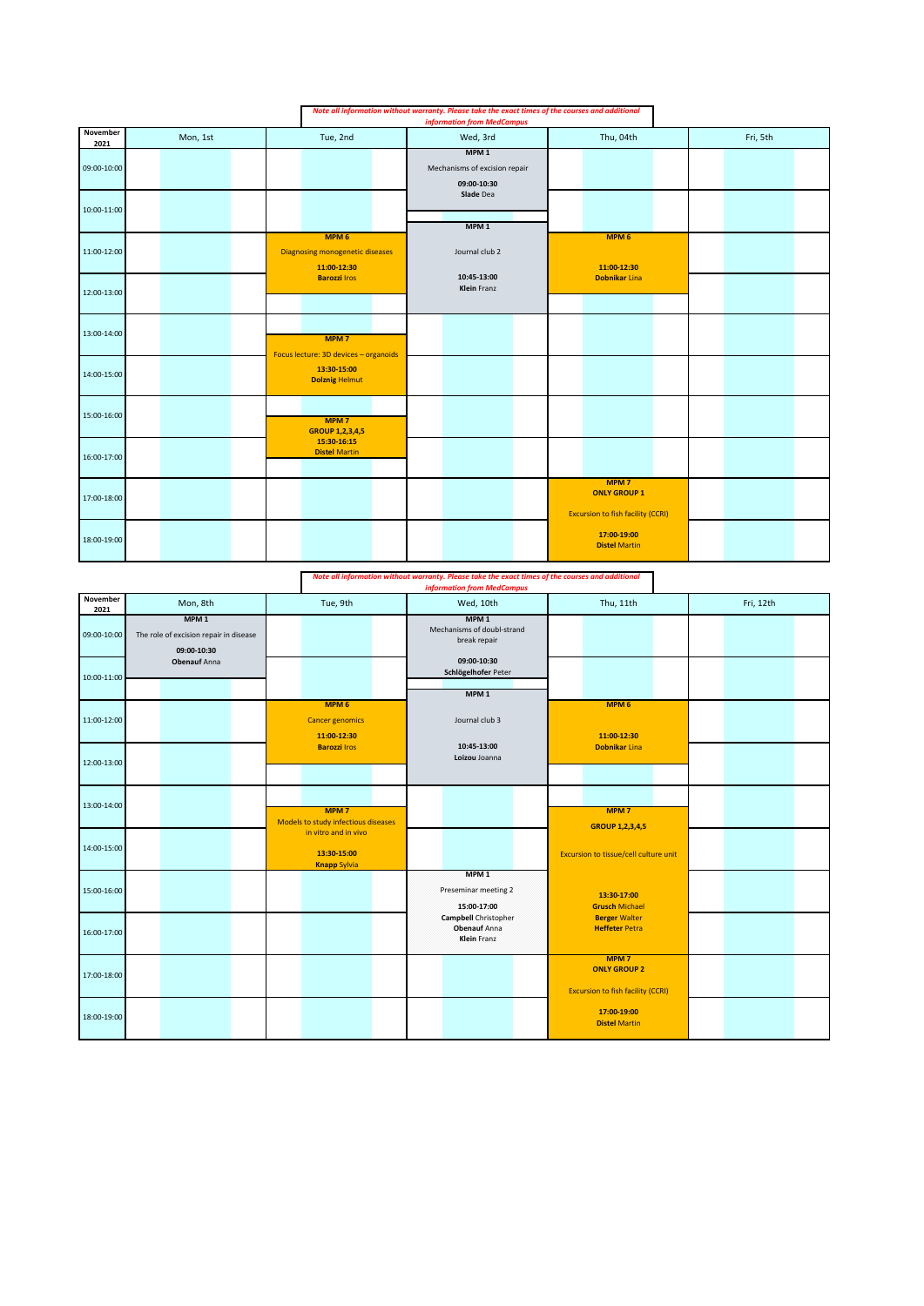|                  |          |                                                                           | Note all information without warranty. Please take the exact times of the courses and additional<br><b>information from MedCampus</b> |                                                                                     |          |
|------------------|----------|---------------------------------------------------------------------------|---------------------------------------------------------------------------------------------------------------------------------------|-------------------------------------------------------------------------------------|----------|
| November<br>2021 | Mon, 1st | Tue, 2nd                                                                  | Wed, 3rd                                                                                                                              | Thu, 04th                                                                           | Fri, 5th |
| 09:00-10:00      |          |                                                                           | MPM <sub>1</sub><br>Mechanisms of excision repair<br>09:00-10:30<br>Slade Dea                                                         |                                                                                     |          |
| 10:00-11:00      |          |                                                                           | MPM <sub>1</sub>                                                                                                                      |                                                                                     |          |
| 11:00-12:00      |          | MPM <sub>6</sub><br><b>Diagnosing monogenetic diseases</b><br>11:00-12:30 | Journal club 2                                                                                                                        | MPM <sub>6</sub><br>11:00-12:30                                                     |          |
| 12:00-13:00      |          | <b>Barozzi Iros</b>                                                       | 10:45-13:00<br><b>Klein</b> Franz                                                                                                     | Dobnikar Lina                                                                       |          |
| 13:00-14:00      |          | MPM <sub>7</sub><br>Focus lecture: 3D devices - organoids                 |                                                                                                                                       |                                                                                     |          |
| 14:00-15:00      |          | 13:30-15:00<br><b>Dolznig Helmut</b>                                      |                                                                                                                                       |                                                                                     |          |
| 15:00-16:00      |          | MPM <sub>7</sub><br><b>GROUP 1,2,3,4,5</b>                                |                                                                                                                                       |                                                                                     |          |
| 16:00-17:00      |          | 15:30-16:15<br><b>Distel Martin</b>                                       |                                                                                                                                       |                                                                                     |          |
| 17:00-18:00      |          |                                                                           |                                                                                                                                       | MPM <sub>7</sub><br><b>ONLY GROUP 1</b><br><b>Excursion to fish facility (CCRI)</b> |          |
| 18:00-19:00      |          |                                                                           |                                                                                                                                       | 17:00-19:00<br><b>Distel Martin</b>                                                 |          |

|                  |                                                                                                  |                                                            | Note all information without warranty. Please take the exact times of the courses and additional<br><b>information from MedCampus</b> |                                                                                     |           |
|------------------|--------------------------------------------------------------------------------------------------|------------------------------------------------------------|---------------------------------------------------------------------------------------------------------------------------------------|-------------------------------------------------------------------------------------|-----------|
| November<br>2021 | Mon, 8th                                                                                         | Tue, 9th                                                   | Wed, 10th                                                                                                                             | Thu, 11th                                                                           | Fri, 12th |
| 09:00-10:00      | MPM <sub>1</sub><br>The role of excision repair in disease<br>09:00-10:30<br><b>Obenauf Anna</b> |                                                            | MPM <sub>1</sub><br>Mechanisms of doubl-strand<br>break repair<br>09:00-10:30                                                         |                                                                                     |           |
| 10:00-11:00      |                                                                                                  |                                                            | Schlögelhofer Peter                                                                                                                   |                                                                                     |           |
| 11:00-12:00      |                                                                                                  | MPM <sub>6</sub><br><b>Cancer genomics</b><br>11:00-12:30  | MPM <sub>1</sub><br>Journal club 3                                                                                                    | MPM <sub>6</sub><br>11:00-12:30                                                     |           |
| 12:00-13:00      |                                                                                                  | <b>Barozzi Iros</b>                                        | 10:45-13:00<br>Loizou Joanna                                                                                                          | <b>Dobnikar Lina</b>                                                                |           |
| 13:00-14:00      |                                                                                                  | MPM <sub>7</sub><br>Models to study infectious diseases    |                                                                                                                                       | MPM <sub>7</sub><br><b>GROUP 1,2,3,4,5</b>                                          |           |
| 14:00-15:00      |                                                                                                  | in vitro and in vivo<br>13:30-15:00<br><b>Knapp Sylvia</b> | MPM <sub>1</sub>                                                                                                                      | Excursion to tissue/cell culture unit                                               |           |
| 15:00-16:00      |                                                                                                  |                                                            | Preseminar meeting 2<br>15:00-17:00                                                                                                   | 13:30-17:00<br><b>Grusch Michael</b>                                                |           |
| 16:00-17:00      |                                                                                                  |                                                            | <b>Campbell</b> Christopher<br><b>Obenauf Anna</b><br>Klein Franz                                                                     | <b>Berger Walter</b><br><b>Heffeter Petra</b>                                       |           |
| 17:00-18:00      |                                                                                                  |                                                            |                                                                                                                                       | MPM <sub>7</sub><br><b>ONLY GROUP 2</b><br><b>Excursion to fish facility (CCRI)</b> |           |
| 18:00-19:00      |                                                                                                  |                                                            |                                                                                                                                       | 17:00-19:00<br><b>Distel Martin</b>                                                 |           |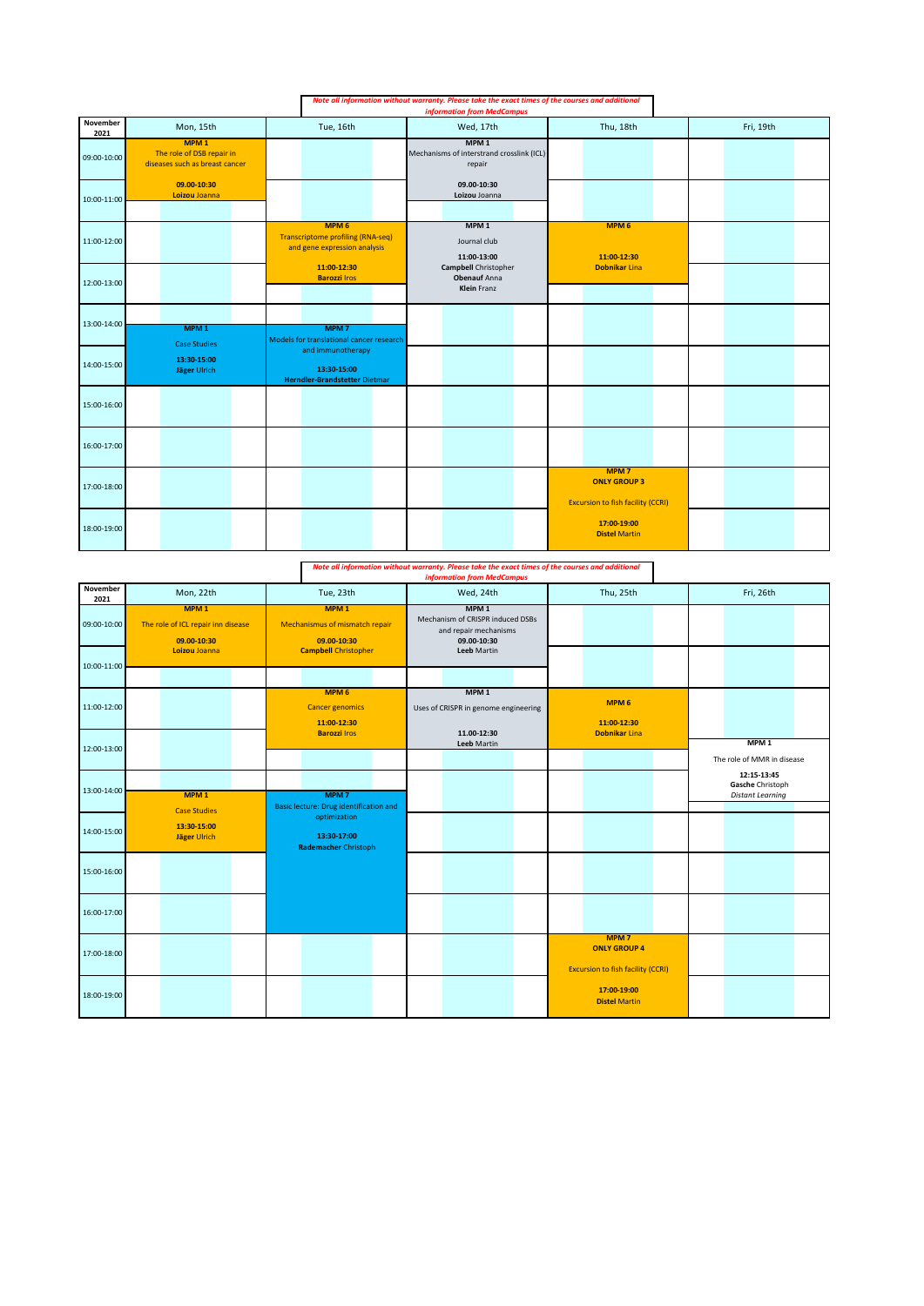|                  |                                                                                 |                                                                                              | Note all information without warranty. Please take the exact times of the courses and additional<br><b>information from MedCampus</b> |                                                                                     |           |
|------------------|---------------------------------------------------------------------------------|----------------------------------------------------------------------------------------------|---------------------------------------------------------------------------------------------------------------------------------------|-------------------------------------------------------------------------------------|-----------|
| November<br>2021 | Mon, 15th                                                                       | Tue, 16th                                                                                    | Wed, 17th                                                                                                                             | Thu, 18th                                                                           | Fri, 19th |
| 09:00-10:00      | MPM <sub>1</sub><br>The role of DSB repair in<br>diseases such as breast cancer |                                                                                              | MPM <sub>1</sub><br>Mechanisms of interstrand crosslink (ICL)<br>repair                                                               |                                                                                     |           |
| 10:00-11:00      | 09.00-10:30<br>Loizou Joanna                                                    |                                                                                              | 09.00-10:30<br>Loizou Joanna                                                                                                          |                                                                                     |           |
| 11:00-12:00      |                                                                                 | MPM <sub>6</sub><br><b>Transcriptome profiling (RNA-seq)</b><br>and gene expression analysis | MPM <sub>1</sub><br>Journal club<br>11:00-13:00                                                                                       | MPM <sub>6</sub><br>11:00-12:30                                                     |           |
| 12:00-13:00      |                                                                                 | 11:00-12:30<br><b>Barozzi Iros</b>                                                           | Campbell Christopher<br><b>Obenauf</b> Anna<br><b>Klein Franz</b>                                                                     | <b>Dobnikar Lina</b>                                                                |           |
| 13:00-14:00      | MPM <sub>1</sub><br><b>Case Studies</b>                                         | MPM <sub>7</sub><br>Models for translational cancer research                                 |                                                                                                                                       |                                                                                     |           |
| 14:00-15:00      | 13:30-15:00<br>Jäger Ulrich                                                     | and immunotherapy<br>13:30-15:00<br>Herndler-Brandstetter Dietmar                            |                                                                                                                                       |                                                                                     |           |
| 15:00-16:00      |                                                                                 |                                                                                              |                                                                                                                                       |                                                                                     |           |
| 16:00-17:00      |                                                                                 |                                                                                              |                                                                                                                                       |                                                                                     |           |
| 17:00-18:00      |                                                                                 |                                                                                              |                                                                                                                                       | MPM <sub>7</sub><br><b>ONLY GROUP 3</b><br><b>Excursion to fish facility (CCRI)</b> |           |
| 18:00-19:00      |                                                                                 |                                                                                              |                                                                                                                                       | 17:00-19:00<br><b>Distel Martin</b>                                                 |           |

*Note all information without warranty. Please take the exact times of the courses and additional information from MedCampus*

| November<br>2021 | Mon, 22th                                                                              | Tue, 23th                                                                                        | Wed, 24th                                                                                                          | Thu, 25th                                                                           | Fri, 26th                                                  |
|------------------|----------------------------------------------------------------------------------------|--------------------------------------------------------------------------------------------------|--------------------------------------------------------------------------------------------------------------------|-------------------------------------------------------------------------------------|------------------------------------------------------------|
| 09:00-10:00      | MPM <sub>1</sub><br>The role of ICL repair inn disease<br>09.00-10:30<br>Loizou Joanna | MPM <sub>1</sub><br>Mechanismus of mismatch repair<br>09.00-10:30<br><b>Campbell Christopher</b> | MPM <sub>1</sub><br>Mechanism of CRISPR induced DSBs<br>and repair mechanisms<br>09.00-10:30<br><b>Leeb Martin</b> |                                                                                     |                                                            |
| 10:00-11:00      |                                                                                        |                                                                                                  |                                                                                                                    |                                                                                     |                                                            |
| 11:00-12:00      |                                                                                        | MPM <sub>6</sub><br><b>Cancer genomics</b><br>11:00-12:30<br><b>Barozzi Iros</b>                 | MPM <sub>1</sub><br>Uses of CRISPR in genome engineering<br>11.00-12:30                                            | MPM <sub>6</sub><br>11:00-12:30<br><b>Dobnikar Lina</b>                             |                                                            |
| 12:00-13:00      |                                                                                        |                                                                                                  | Leeb Martin                                                                                                        |                                                                                     | MPM <sub>1</sub><br>The role of MMR in disease             |
| 13:00-14:00      | MPM <sub>1</sub>                                                                       | MPM <sub>7</sub><br>Basic lecture: Drug identification and                                       |                                                                                                                    |                                                                                     | 12:15-13:45<br>Gasche Christoph<br><b>Distant Learning</b> |
| 14:00-15:00      | <b>Case Studies</b><br>13:30-15:00<br>Jäger Ulrich                                     | optimization<br>13:30-17:00<br><b>Rademacher Christoph</b>                                       |                                                                                                                    |                                                                                     |                                                            |
| 15:00-16:00      |                                                                                        |                                                                                                  |                                                                                                                    |                                                                                     |                                                            |
| 16:00-17:00      |                                                                                        |                                                                                                  |                                                                                                                    |                                                                                     |                                                            |
| 17:00-18:00      |                                                                                        |                                                                                                  |                                                                                                                    | MPM <sub>7</sub><br><b>ONLY GROUP 4</b><br><b>Excursion to fish facility (CCRI)</b> |                                                            |
| 18:00-19:00      |                                                                                        |                                                                                                  |                                                                                                                    | 17:00-19:00<br><b>Distel Martin</b>                                                 |                                                            |